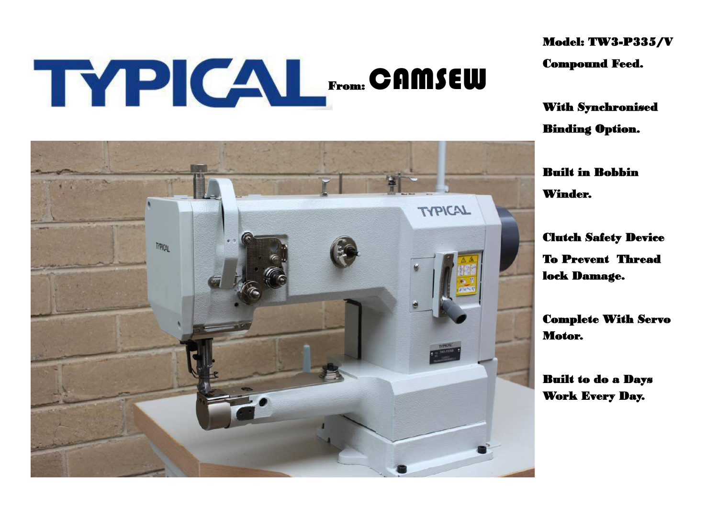# THE CAL From: CAMSEW

Model: TW3-P335/V Compound Feed.

With Synchronised Binding Option.

Built in Bobbin Winder.

Clutch Safety Device To Prevent Thread lock Damage.

Complete With Servo Motor.

Built to do a Days Work Every Day.

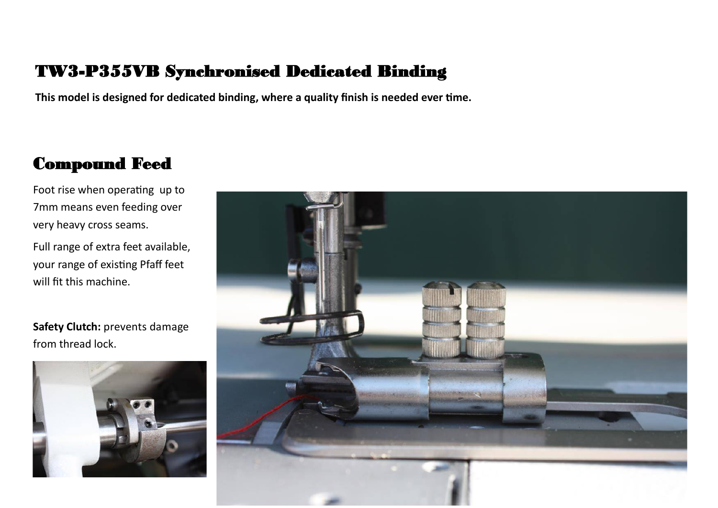#### TW3-P355VB Synchronised Dedicated Binding

**This model is designed for dedicated binding, where a quality finish is needed ever time.**

#### Compound Feed

Foot rise when operating up to 7mm means even feeding over very heavy cross seams.

Full range of extra feet available, your range of existing Pfaff feet will fit this machine.

**Safety Clutch:** prevents damage from thread lock.



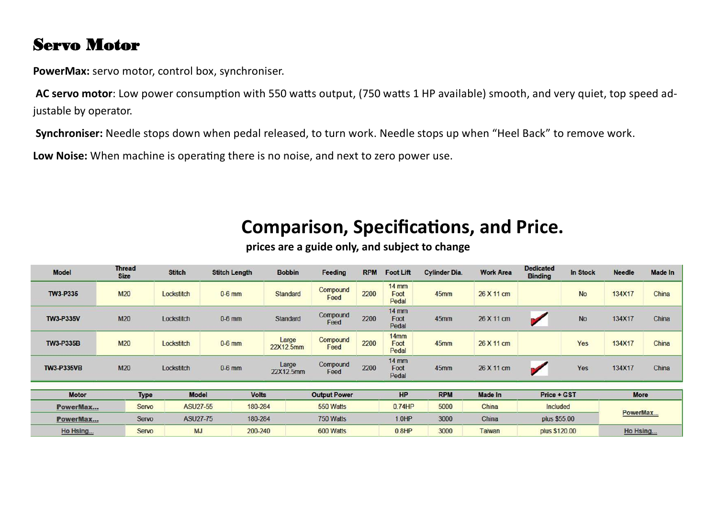#### Servo Motor

**PowerMax:** servo motor, control box, synchroniser.

**AC servo motor**: Low power consumption with 550 watts output, (750 watts 1 HP available) smooth, and very quiet, top speed adjustable by operator.

**Synchroniser:** Needle stops down when pedal released, to turn work. Needle stops up when "Heel Back" to remove work.

**Low Noise:** When machine is operating there is no noise, and next to zero power use.

### **Comparison, Specifications, and Price.**

| <b>Model</b>      | <b>Thread</b><br><b>Size</b> | <b>Stitch</b> | <b>Stitch Length</b> | <b>Bobbin</b>      | Feeding             | <b>RPM</b> | <b>Foot Lift</b>         | <b>Cylinder Dia.</b> | <b>Work Area</b> | <b>Dedicated</b><br><b>Binding</b> | <b>In Stock</b> | <b>Needle</b> | <b>Made In</b> |
|-------------------|------------------------------|---------------|----------------------|--------------------|---------------------|------------|--------------------------|----------------------|------------------|------------------------------------|-----------------|---------------|----------------|
| TW3-P335          | <b>M20</b>                   | Lockstitch    | $0-6$ mm             | Standard           | Compound<br>Feed    | 2200       | $14$ mm<br>Foot<br>Pedal | 45mm                 | 26 X 11 cm       |                                    | <b>No</b>       | 134X17        | China          |
| <b>TW3-P335V</b>  | M20                          | Lockstitch    | $0-6$ mm             | Standard           | Compound<br>Feed    | 2200       | $14$ mm<br>Foot<br>Pedal | 45mm                 | 26 X 11 cm       | ю                                  | <b>No</b>       | 134X17        | China          |
| <b>TW3-P335B</b>  | <b>M20</b>                   | Lockstitch    | $0-6$ mm             | Large<br>22X12.5mm | Compound<br>Feed    | 2200       | $14$ mm<br>Foot<br>Pedal | 45mm                 | 26 X 11 cm       |                                    | Yes             | 134X17        | China          |
| <b>TW3-P335VB</b> | M20                          | Lockstitch    | $0-6$ mm             | Large<br>22X12.5mm | Compound<br>Feed    | 2200       | $14$ mm<br>Foot<br>Pedal | 45mm                 | 26 X 11 cm       | $\mathcal{L}$                      | Yes             | 134X17        | China          |
| <b>Motor</b>      | <b>Type</b>                  | <b>Model</b>  | <b>Volts</b>         |                    | <b>Output Power</b> |            | HP                       | <b>RPM</b>           | <b>Made In</b>   | Price + GST                        |                 | <b>More</b>   |                |
|                   |                              |               |                      |                    |                     |            | 0.74HP                   |                      |                  |                                    |                 |               |                |
| PowerMax          | Servo                        | ASU27-55      |                      | 180-284            |                     | 550 Watts  |                          | 5000                 | China            | Included                           |                 | PowerMax      |                |
| PowerMax          | Servo                        | ASU27-75      | 180-284              |                    | 750 Watts           |            | 1.0HP                    | 3000                 | China            | plus \$55.00                       |                 |               |                |
| Ho Hsing          | Servo                        | <b>MJ</b>     | 200-240              | 600 Watts          |                     |            | 0.8HP                    | 3000                 | Taiwan           | plus \$120.00                      |                 | Ho Hsing      |                |
|                   |                              |               |                      |                    |                     |            |                          |                      |                  |                                    |                 |               |                |

**prices are a guide only, and subject to change**